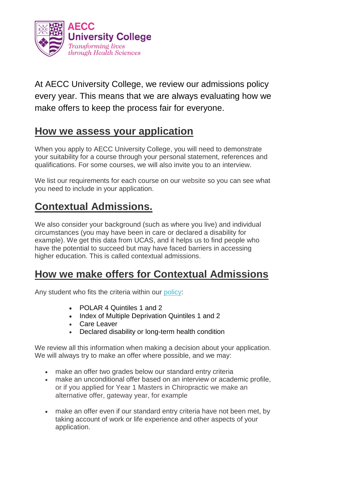

At AECC University College, we review our admissions policy every year. This means that we are always evaluating how we make offers to keep the process fair for everyone.

## **How we assess your application**

When you apply to AECC University College, you will need to demonstrate your suitability for a course through your personal statement, references and qualifications. For some courses, we will also invite you to an interview.

We list our requirements for each course on our website so you can see what you need to include in your application.

## **Contextual Admissions.**

We also consider your background (such as where you live) and individual circumstances (you may have been in care or declared a disability for example). We get this data from UCAS, and it helps us to find people who have the potential to succeed but may have faced barriers in accessing higher education. This is called contextual admissions.

## **How we make offers for Contextual Admissions**

Any student who fits the criteria within our [policy:](https://www.aecc.ac.uk/media/9806/recruitment-selection-and-admission-policy-v30.pdf)

- POLAR 4 Quintiles 1 and 2
- Index of Multiple Deprivation Quintiles 1 and 2
- Care Leaver
- Declared disability or long-term health condition

We review all this information when making a decision about your application. We will always try to make an offer where possible, and we may:

- make an offer two grades below our standard entry criteria
- make an unconditional offer based on an interview or academic profile, or if you applied for Year 1 Masters in Chiropractic we make an alternative offer, gateway year, for example
- make an offer even if our standard entry criteria have not been met, by taking account of work or life experience and other aspects of your application.